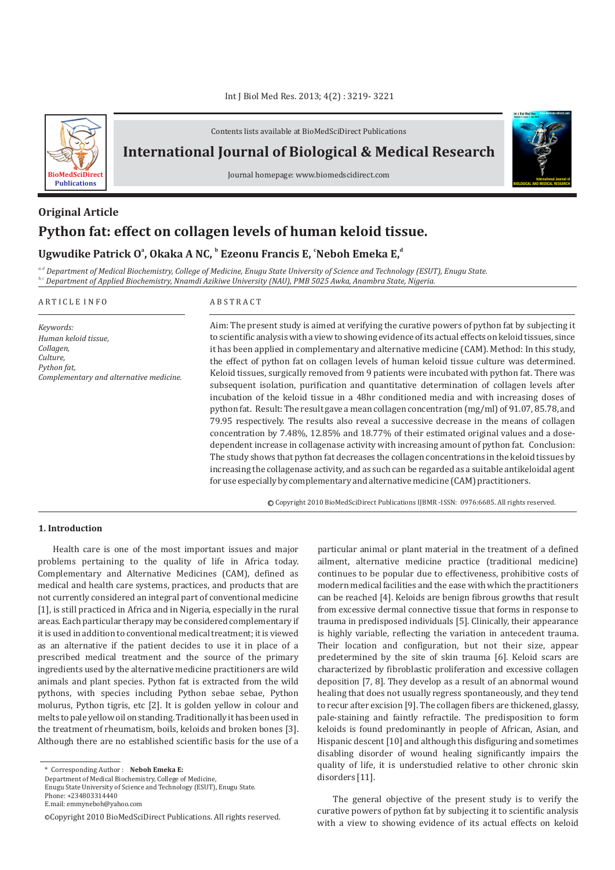

Contents lists available at BioMedSciDirect Publications

# **International Journal of Biological & Medical Research**

Journal homepage: www.biomedscidirect.com

# **Python fat: effect on collagen levels of human keloid tissue. Original Article**

# **Ugwudike Patrick O<sup>ª</sup>, Okaka A NC, <sup>b</sup> Ezeonu Francis E, 'Neboh Emeka E,<sup>d</sup>**

*a, d Department of Medical Biochemistry, College of Medicine, Enugu State University of Science and Technology (ESUT), Enugu State. b, c Department of Applied Biochemistry, Nnamdi Azikiwe University (NAU), PMB 5025 Awka, Anambra State, Nigeria.*

#### A R T I C L E I N F O A B S T R A C T *Keywords: Human keloid tissue, Collagen, Culture, Python fat, Complementary and alternative medicine.* Aim: The present study is aimed at verifying the curative powers of python fat by subjecting it to scientific analysis with a view to showing evidence of its actual effects on keloid tissues, since it has been applied in complementary and alternative medicine (CAM). Method: In this study, the effect of python fat on collagen levels of human keloid tissue culture was determined.

Keloid tissues, surgically removed from 9 patients were incubated with python fat. There was subsequent isolation, purification and quantitative determination of collagen levels after incubation of the keloid tissue in a 48hr conditioned media and with increasing doses of python fat. Result: The result gave a mean collagen concentration (mg/ml) of 91.07, 85.78, and 79.95 respectively. The results also reveal a successive decrease in the means of collagen concentration by 7.48%, 12.85% and 18.77% of their estimated original values and a dosedependent increase in collagenase activity with increasing amount of python fat. Conclusion: The study shows that python fat decreases the collagen concentrations in the keloid tissues by increasing the collagenase activity, and as such can be regarded as a suitable antikeloidal agent for use especially by complementary and alternative medicine (CAM) practitioners.

c Copyright 2010 BioMedSciDirect Publications IJBMR -ISSN: 0976:6685. All rights reserved.

# **1. Introduction**

Health care is one of the most important issues and major problems pertaining to the quality of life in Africa today. Complementary and Alternative Medicines (CAM), defined as medical and health care systems, practices, and products that are not currently considered an integral part of conventional medicine [1], is still practiced in Africa and in Nigeria, especially in the rural areas. Each particular therapy may be considered complementary if it is used in addition to conventional medical treatment; it is viewed as an alternative if the patient decides to use it in place of a prescribed medical treatment and the source of the primary ingredients used by the alternative medicine practitioners are wild animals and plant species. Python fat is extracted from the wild pythons, with species including Python sebae sebae, Python molurus, Python tigris, etc [2]. It is golden yellow in colour and melts to pale yellow oil on standing. Traditionally it has been used in the treatment of rheumatism, boils, keloids and broken bones [3]. Although there are no established scientific basis for the use of a

Department of Medical Biochemistry, College of Medicine,

Enugu State University of Science and Technology (ESUT), Enugu State. Phone: +234803314440

E.mail: emmyneboh@yahoo.com

particular animal or plant material in the treatment of a defined ailment, alternative medicine practice (traditional medicine) continues to be popular due to effectiveness, prohibitive costs of modern medical facilities and the ease with which the practitioners can be reached [4]. Keloids are benign fibrous growths that result from excessive dermal connective tissue that forms in response to trauma in predisposed individuals [5]. Clinically, their appearance is highly variable, reflecting the variation in antecedent trauma. Their location and configuration, but not their size, appear predetermined by the site of skin trauma [6]. Keloid scars are characterized by fibroblastic proliferation and excessive collagen deposition [7, 8]. They develop as a result of an abnormal wound healing that does not usually regress spontaneously, and they tend to recur after excision [9]. The collagen fibers are thickened, glassy, pale-staining and faintly refractile. The predisposition to form keloids is found predominantly in people of African, Asian, and Hispanic descent [10] and although this disfiguring and sometimes disabling disorder of wound healing significantly impairs the quality of life, it is understudied relative to other chronic skin disorders [11].

**BIOLOGICAL AND MEDICAL RESEARCH**

**Int J Biol Med Res www.biomedscidirect.com Volume 3, Issue 1, Jan 2012**

The general objective of the present study is to verify the curative powers of python fat by subjecting it to scientific analysis with a view to showing evidence of its actual effects on keloid

<sup>\*</sup> Corresponding Author : **Neboh Emeka E:** 

<sup>©</sup>Copyright 2010 BioMedSciDirect Publications. All rights reserved.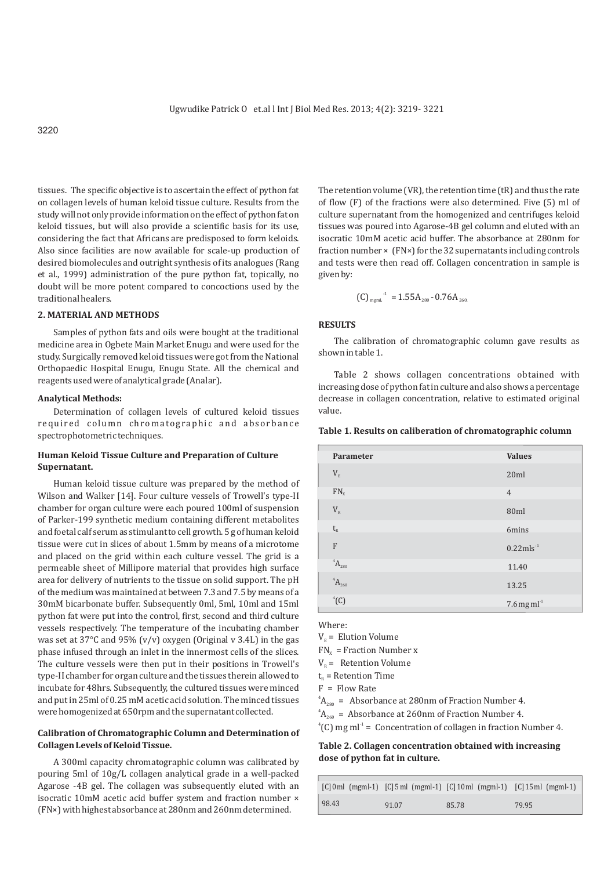tissues. The specific objective is to ascertain the effect of python fat on collagen levels of human keloid tissue culture. Results from the study will not only provide information on the effect of python fat on keloid tissues, but will also provide a scientific basis for its use, considering the fact that Africans are predisposed to form keloids. Also since facilities are now available for scale-up production of desired biomolecules and outright synthesis of its analogues (Rang et al., 1999) administration of the pure python fat, topically, no doubt will be more potent compared to concoctions used by the traditional healers.

# **2. MATERIAL AND METHODS**

Samples of python fats and oils were bought at the traditional medicine area in Ogbete Main Market Enugu and were used for the study. Surgically removed keloid tissues were got from the National Orthopaedic Hospital Enugu, Enugu State. All the chemical and reagents used were of analytical grade (Analar).

## **Analytical Methods:**

Determination of collagen levels of cultured keloid tissues required column chromatographic and absorbance spectrophotometric techniques.

# **Human Keloid Tissue Culture and Preparation of Culture Supernatant.**

Human keloid tissue culture was prepared by the method of Wilson and Walker [14]. Four culture vessels of Trowell's type-II chamber for organ culture were each poured 100ml of suspension of Parker-199 synthetic medium containing different metabolites and foetal calf serum as stimulant to cell growth. 5 g of human keloid tissue were cut in slices of about 1.5mm by means of a microtome and placed on the grid within each culture vessel. The grid is a permeable sheet of Millipore material that provides high surface area for delivery of nutrients to the tissue on solid support. The pH of the medium was maintained at between 7.3 and 7.5 by means of a 30mM bicarbonate buffer. Subsequently 0ml, 5ml, 10ml and 15ml python fat were put into the control, first, second and third culture vessels respectively. The temperature of the incubating chamber was set at 37°C and 95% (v/v) oxygen (Original v 3.4L) in the gas phase infused through an inlet in the innermost cells of the slices. The culture vessels were then put in their positions in Trowell's type-II chamber for organ culture and the tissues therein allowed to incubate for 48hrs. Subsequently, the cultured tissues were minced and put in 25ml of 0.25 mM acetic acid solution. The minced tissues were homogenized at 650rpm and the supernatant collected.

# **Calibration of Chromatographic Column and Determination of Collagen Levels of Keloid Tissue.**

A 300ml capacity chromatographic column was calibrated by pouring 5ml of 10g/L collagen analytical grade in a well-packed Agarose -4B gel. The collagen was subsequently eluted with an isocratic 10mM acetic acid buffer system and fraction number × (FN×) with highest absorbance at 280nm and 260nm determined.

The retention volume (VR), the retention time (tR) and thus the rate of flow (F) of the fractions were also determined. Five (5) ml of culture supernatant from the homogenized and centrifuges keloid tissues was poured into Agarose-4B gel column and eluted with an isocratic 10mM acetic acid buffer. The absorbance at 280nm for fraction number × (FN×) for the 32 supernatants including controls and tests were then read off. Collagen concentration in sample is given by:

(C) 
$$
_{\text{mgmL}}^{-1}
$$
 = 1.55A<sub>280</sub> - 0.76A<sub>260</sub>

# **RESULTS**

The calibration of chromatographic column gave results as shown in table 1.

Table 2 shows collagen concentrations obtained with increasing dose of python fat in culture and also shows a percentage decrease in collagen concentration, relative to estimated original value.

# **Table 1. Results on caliberation of chromatographic column**

| <b>Parameter</b>              | <b>Values</b>             |
|-------------------------------|---------------------------|
| $V_{\scriptscriptstyle\rm E}$ | 20ml                      |
| $FN_{x}$                      | $\overline{4}$            |
| $V_{\scriptscriptstyle R}$    | 80ml                      |
| $t_{R}$                       | 6mins                     |
| $\overline{F}$                | $0.22$ mls <sup>-1</sup>  |
| $^{4}A_{280}$                 | 11.40                     |
| $^{4}A_{260}$                 | 13.25                     |
| ${}^4$ (C)                    | $7.6$ mg ml <sup>-1</sup> |

Where:

 $V<sub>E</sub>$  = Elution Volume

 $FN_x$  = Fraction Number x

 $V_p$  = Retention Volume

 $t<sub>n</sub>$  = Retention Time

 $F =$  Flow Rate

 ${}^4A_{280}$  = Absorbance at 280nm of Fraction Number 4.

 ${}^4A_{260}$  = Absorbance at 260nm of Fraction Number 4.

 $^{4}$ (C) mg ml<sup>-1</sup> = Concentration of collagen in fraction Number 4.

# **Table 2. Collagen concentration obtained with increasing dose of python fat in culture.**

|       |       | $[C]$ 0 ml (mgml-1) $[C]$ 5 ml (mgml-1) $[C]$ 10 ml (mgml-1) $[C]$ 15 ml (mgml-1) |       |
|-------|-------|-----------------------------------------------------------------------------------|-------|
| 98.43 | 91.07 | 85.78                                                                             | 79.95 |